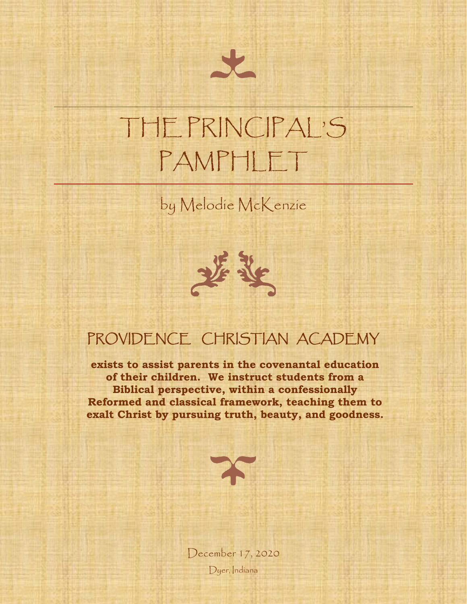# THE PRINCIPAL'S PAMPHLET

by Melodie McKenzie



### PROVIDENCE CHRISTIAN ACADEMY

**exists to assist parents in the covenantal education of their children. We instruct students from a Biblical perspective, within a confessionally Reformed and classical framework, teaching them to exalt Christ by pursuing truth, beauty, and goodness.**



December 17, 2020 Dyer, Indiana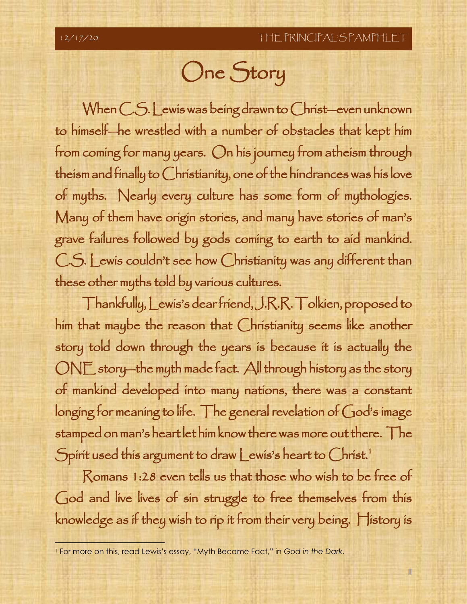## One Story

When C.S. Lewis was being drawn to Christ—even unknown to himself—he wrestled with a number of obstacles that kept him from coming for many years. On his journey from atheism through theism and finally to Christianity, one of the hindrances was his love of myths. Nearly every culture has some form of mythologies. Many of them have origin stories, and many have stories of man's grave failures followed by gods coming to earth to aid mankind. C.S. Lewis couldn't see how Christianity was any different than these other myths told by various cultures.

Thankfully, Lewis's dear friend, J.R.R. Tolkien, proposed to him that maybe the reason that Christianity seems like another story told down through the years is because it is actually the ONE story—the myth made fact. All through history as the story of mankind developed into many nations, there was a constant longing for meaning to life. The general revelation of God's image stamped on man's heart let him know there was more out there. The Spirit used this argument to draw Lewis's heart to Christ.<sup>1</sup>

Romans 1:28 even tells us that those who wish to be free of God and live lives of sin struggle to free themselves from this knowledge as if they wish to rip it from their very being. History is

<sup>1</sup> For more on this, read Lewis's essay, "Myth Became Fact," in *God in the Dark*.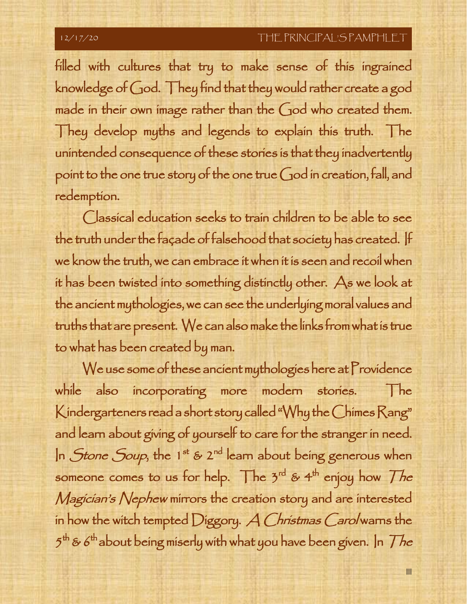### 12/17/20 THE PRINCIPAL'S PAMPHLET

filled with cultures that try to make sense of this ingrained knowledge of God. They find that they would rather create a god made in their own image rather than the God who created them. They develop myths and legends to explain this truth. The unintended consequence of these stories is that they inadvertently point to the one true story of the one true God in creation, fall, and redemption.

Classical education seeks to train children to be able to see the truth under the façade of falsehood that society has created. If we know the truth, we can embrace it when it is seen and recoil when it has been twisted into something distinctly other. As we look at the ancient mythologies, we can see the underlying moral values and truths that are present. We can also make the links from what is true to what has been created by man.

We use some of these ancient mythologies here at Providence while also incorporating more modern stories. The Kindergarteners read a short story called "Why the Chimes Rang" and learn about giving of yourself to care for the stranger in need. In *Stone Soup*, the 1<sup>st</sup> & 2<sup>nd</sup> learn about being generous when someone comes to us for help. The 3<sup>rd</sup> & 4<sup>th</sup> enjoy how *The* Magician's Nephew mirrors the creation story and are interested in how the witch tempted Diggory. A Christmas Carol warns the  $5^{\text{th}}$  & 6<sup>th</sup> about being miserly with what you have been given. In  $\mathcal{T}h e$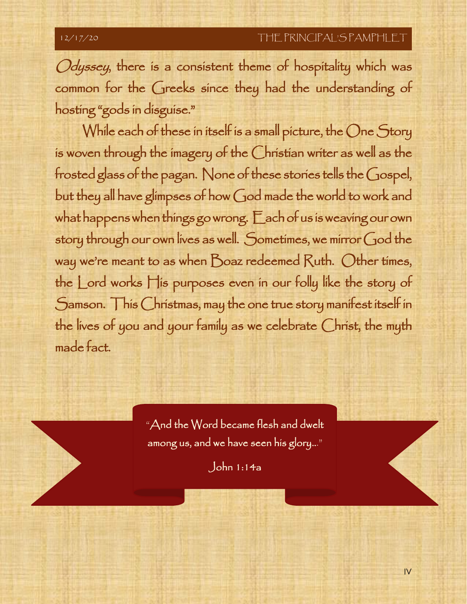Odyssey, there is a consistent theme of hospitality which was common for the Greeks since they had the understanding of hosting "gods in disguise."

While each of these in itself is a small picture, the One Story is woven through the imagery of the Christian writer as well as the frosted glass of the pagan. None of these stories tells the Gospel, but they all have glimpses of how God made the world to work and what happens when things go wrong. Each of us is weaving our own story through our own lives as well. Sometimes, we mirror God the way we're meant to as when Boaz redeemed Ruth. Other times, the Lord works His purposes even in our folly like the story of Samson. This Christmas, may the one true story manifest itself in the lives of you and your family as we celebrate Christ, the myth made fact.

> "And the Word became flesh and dwelt among us, and we have seen his glory..."

> > John 1:14a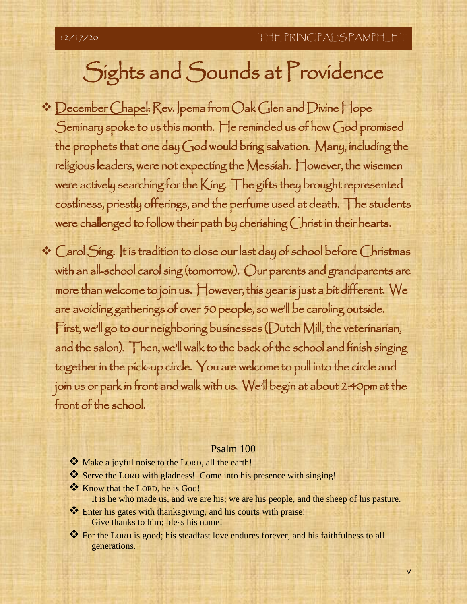## Sights and Sounds at Providence

- ❖ December Chapel: Rev. Ipema from Oak Glen and Divine Hope Seminary spoke to us this month. He reminded us of how God promised the prophets that one day God would bring salvation. Many, including the religious leaders, were not expecting the Messiah. However, the wisemen were actively searching for the King. The gifts they brought represented costliness, priestly offerings, and the perfume used at death. The students were challenged to follow their path by cherishing Christ in their hearts.
- ❖ Carol Sing: It is tradition to close our last day of school before Christmas with an all-school carol sing (tomorrow). Our parents and grandparents are more than welcome to join us. However, this year is just a bit different. We are avoiding gatherings of over 50 people, so we'll be caroling outside. First, we'll go to our neighboring businesses (Dutch Mill, the veterinarian, and the salon). Then, we'll walk to the back of the school and finish singing together in the pick-up circle. You are welcome to pull into the circle and join us or park in front and walk with us. We'll begin at about 2:40pm at the front of the school.

### Psalm 100

- ❖ Make a joyful noise to the LORD, all the earth!
- ❖ Serve the LORD with gladness! Come into his presence with singing!
- ❖ Know that the LORD, he is God! It is he who made us, and we are his; we are his people, and the sheep of his pasture.
- ❖ Enter his gates with thanksgiving, and his courts with praise! Give thanks to him; bless his name!
- ❖ For the LORD is good; his steadfast love endures forever, and his faithfulness to all generations.

V